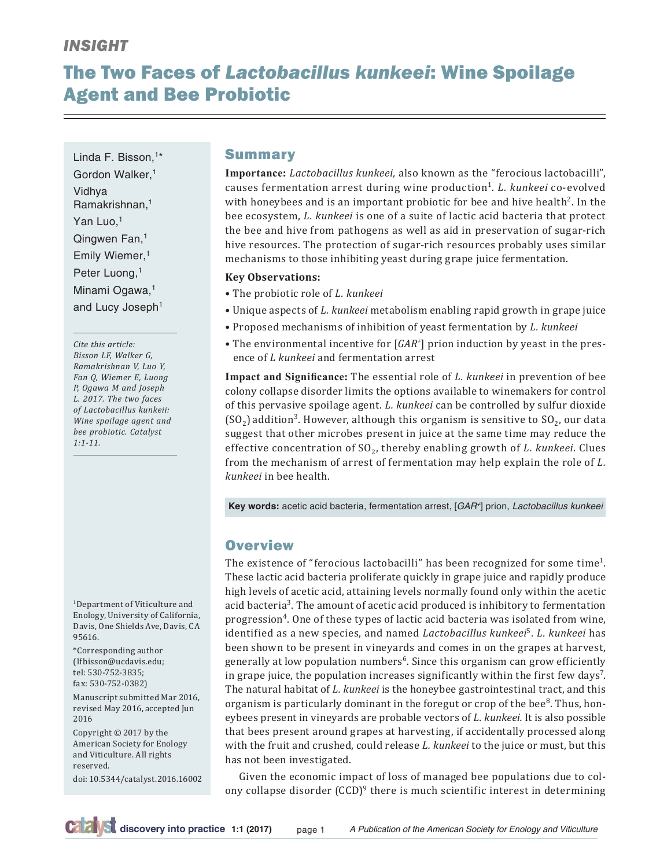# *INSIGHT*

# The Two Faces of *Lactobacillus kunkeei*: Wine Spoilage Agent and Bee Probiotic

Linda F. Bisson,<sup>1\*</sup> Gordon Walker,<sup>1</sup> Vidhya Ramakrishnan,1 Yan Luo,<sup>1</sup> Qingwen Fan,1 Emily Wiemer,1 Peter Luong,<sup>1</sup> Minami Ogawa,<sup>1</sup> and Lucy Joseph<sup>1</sup>

*Cite this article: Bisson LF, Walker G, Ramakrishnan V, Luo Y, Fan Q, Wiemer E, Luong P, Ogawa M and Joseph L. 2017. The two faces of Lactobacillus kunkeii: Wine spoilage agent and bee probiotic. Catalyst 1:1-11.*

1Department of Viticulture and Enology, University of California, Davis, One Shields Ave, Davis, CA 95616.

\*Corresponding author (lfbisson@ucdavis.edu; tel: 530-752-3835; fax: 530-752-0382)

Manuscript submitted Mar 2016, revised May 2016, accepted Jun 2016

Copyright © 2017 by the American Society for Enology and Viticulture. All rights reserved.

doi: 10.5344/catalyst.2016.16002

### **Summary**

**Importance:** *Lactobacillus kunkeei,* also known as the "ferocious lactobacilli", causes fermentation arrest during wine production1. *L. kunkeei* co-evolved with honeybees and is an important probiotic for bee and hive health<sup>2</sup>. In the bee ecosystem, *L. kunkeei* is one of a suite of lactic acid bacteria that protect the bee and hive from pathogens as well as aid in preservation of sugar-rich hive resources. The protection of sugar-rich resources probably uses similar mechanisms to those inhibiting yeast during grape juice fermentation.

#### **Key Observations:**

- The probiotic role of *L. kunkeei*
- Unique aspects of *L. kunkeei* metabolism enabling rapid growth in grape juice
- Proposed mechanisms of inhibition of yeast fermentation by *L. kunkeei*
- The environmental incentive for [*GAR+* ] prion induction by yeast in the presence of *L kunkeei* and fermentation arrest

**Impact and Significance:** The essential role of *L. kunkeei* in prevention of bee colony collapse disorder limits the options available to winemakers for control of this pervasive spoilage agent. *L. kunkeei* can be controlled by sulfur dioxide  $(SO<sub>2</sub>)$  addition<sup>3</sup>. However, although this organism is sensitive to  $SO<sub>2</sub>$ , our data suggest that other microbes present in juice at the same time may reduce the effective concentration of SO<sub>2</sub>, thereby enabling growth of *L. kunkeei*. Clues from the mechanism of arrest of fermentation may help explain the role of *L. kunkeei* in bee health.

**Key words:** acetic acid bacteria, fermentation arrest, [*GAR+*] prion, *Lactobacillus kunkeei*

## **Overview**

The existence of "ferocious lactobacilli" has been recognized for some time<sup>1</sup>. These lactic acid bacteria proliferate quickly in grape juice and rapidly produce high levels of acetic acid, attaining levels normally found only within the acetic acid bacteria<sup>3</sup>. The amount of acetic acid produced is inhibitory to fermentation progression<sup>4</sup>. One of these types of lactic acid bacteria was isolated from wine, identified as a new species, and named *Lactobacillus kunkeei*5. *L. kunkeei* has been shown to be present in vineyards and comes in on the grapes at harvest, generally at low population numbers<sup>6</sup>. Since this organism can grow efficiently in grape juice, the population increases significantly within the first few  $\rm days'$ . The natural habitat of *L. kunkeei* is the honeybee gastrointestinal tract, and this organism is particularly dominant in the foregut or crop of the bee $8$ . Thus, honeybees present in vineyards are probable vectors of *L. kunkeei.* It is also possible that bees present around grapes at harvesting, if accidentally processed along with the fruit and crushed, could release *L. kunkeei* to the juice or must, but this has not been investigated.

Given the economic impact of loss of managed bee populations due to colony collapse disorder  $(CCD)^9$  there is much scientific interest in determining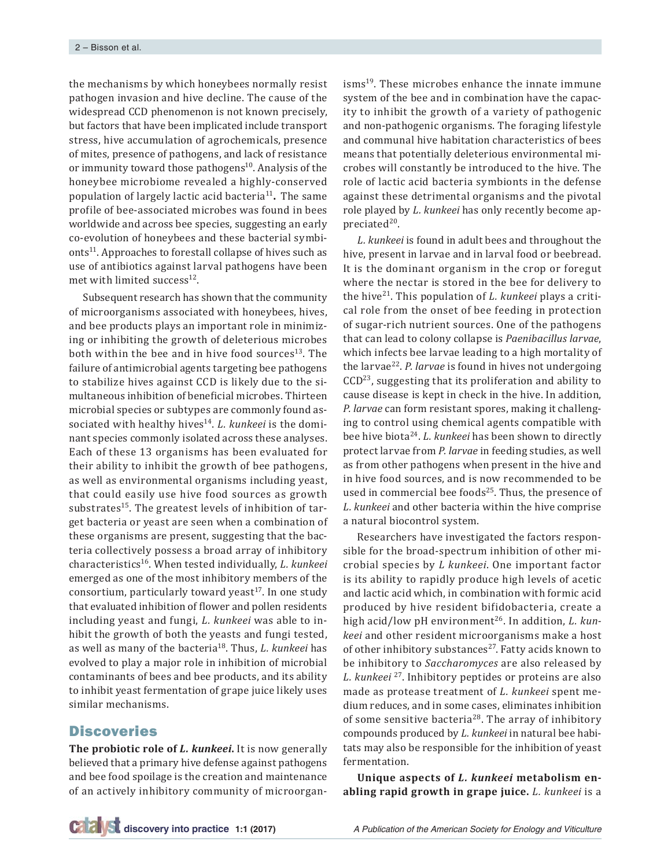the mechanisms by which honeybees normally resist pathogen invasion and hive decline. The cause of the widespread CCD phenomenon is not known precisely, but factors that have been implicated include transport stress, hive accumulation of agrochemicals, presence of mites, presence of pathogens, and lack of resistance or immunity toward those pathogens $10$ . Analysis of the honeybee microbiome revealed a highly-conserved population of largely lactic acid bacteria<sup>11</sup>. The same profile of bee-associated microbes was found in bees worldwide and across bee species, suggesting an early co-evolution of honeybees and these bacterial symbionts<sup>11</sup>. Approaches to forestall collapse of hives such as use of antibiotics against larval pathogens have been met with limited success $^{12}$ .

Subsequent research has shown that the community of microorganisms associated with honeybees, hives, and bee products plays an important role in minimizing or inhibiting the growth of deleterious microbes both within the bee and in hive food sources<sup>13</sup>. The failure of antimicrobial agents targeting bee pathogens to stabilize hives against CCD is likely due to the simultaneous inhibition of beneficial microbes. Thirteen microbial species or subtypes are commonly found associated with healthy hives<sup>14</sup>. *L. kunkeei* is the dominant species commonly isolated across these analyses. Each of these 13 organisms has been evaluated for their ability to inhibit the growth of bee pathogens, as well as environmental organisms including yeast, that could easily use hive food sources as growth substrates<sup>15</sup>. The greatest levels of inhibition of target bacteria or yeast are seen when a combination of these organisms are present, suggesting that the bacteria collectively possess a broad array of inhibitory characteristics16. When tested individually, *L. kunkeei* emerged as one of the most inhibitory members of the consortium, particularly toward yeast $17$ . In one study that evaluated inhibition of flower and pollen residents including yeast and fungi, *L. kunkeei* was able to inhibit the growth of both the yeasts and fungi tested, as well as many of the bacteria18. Thus, *L. kunkeei* has evolved to play a major role in inhibition of microbial contaminants of bees and bee products, and its ability to inhibit yeast fermentation of grape juice likely uses similar mechanisms.

### **Discoveries**

**The probiotic role of** *L. kunkeei***.** It is now generally believed that a primary hive defense against pathogens and bee food spoilage is the creation and maintenance of an actively inhibitory community of microorganisms<sup>19</sup>. These microbes enhance the innate immune system of the bee and in combination have the capacity to inhibit the growth of a variety of pathogenic and non-pathogenic organisms. The foraging lifestyle and communal hive habitation characteristics of bees means that potentially deleterious environmental microbes will constantly be introduced to the hive. The role of lactic acid bacteria symbionts in the defense against these detrimental organisms and the pivotal role played by *L. kunkeei* has only recently become appreciated<sup>20</sup>.

*L. kunkeei* is found in adult bees and throughout the hive, present in larvae and in larval food or beebread. It is the dominant organism in the crop or foregut where the nectar is stored in the bee for delivery to the hive21. This population of *L. kunkeei* plays a critical role from the onset of bee feeding in protection of sugar-rich nutrient sources. One of the pathogens that can lead to colony collapse is *Paenibacillus larvae*, which infects bee larvae leading to a high mortality of the larvae<sup>22</sup>. *P. larvae* is found in hives not undergoing  $CCD<sup>23</sup>$ , suggesting that its proliferation and ability to cause disease is kept in check in the hive. In addition, *P. larvae* can form resistant spores, making it challenging to control using chemical agents compatible with bee hive biota24. *L. kunkeei* has been shown to directly protect larvae from *P. larvae* in feeding studies, as well as from other pathogens when present in the hive and in hive food sources, and is now recommended to be used in commercial bee foods<sup>25</sup>. Thus, the presence of *L. kunkeei* and other bacteria within the hive comprise a natural biocontrol system.

Researchers have investigated the factors responsible for the broad-spectrum inhibition of other microbial species by *L kunkeei*. One important factor is its ability to rapidly produce high levels of acetic and lactic acid which, in combination with formic acid produced by hive resident bifidobacteria, create a high acid/low pH environment<sup>26</sup>. In addition, *L. kunkeei* and other resident microorganisms make a host of other inhibitory substances<sup>27</sup>. Fatty acids known to be inhibitory to *Saccharomyces* are also released by *L. kunkeei* <sup>27</sup>. Inhibitory peptides or proteins are also made as protease treatment of *L. kunkeei* spent medium reduces, and in some cases, eliminates inhibition of some sensitive bacteria<sup>28</sup>. The array of inhibitory compounds produced by *L. kunkeei* in natural bee habitats may also be responsible for the inhibition of yeast fermentation.

**Unique aspects of** *L. kunkeei* **metabolism enabling rapid growth in grape juice.** *L. kunkeei* is a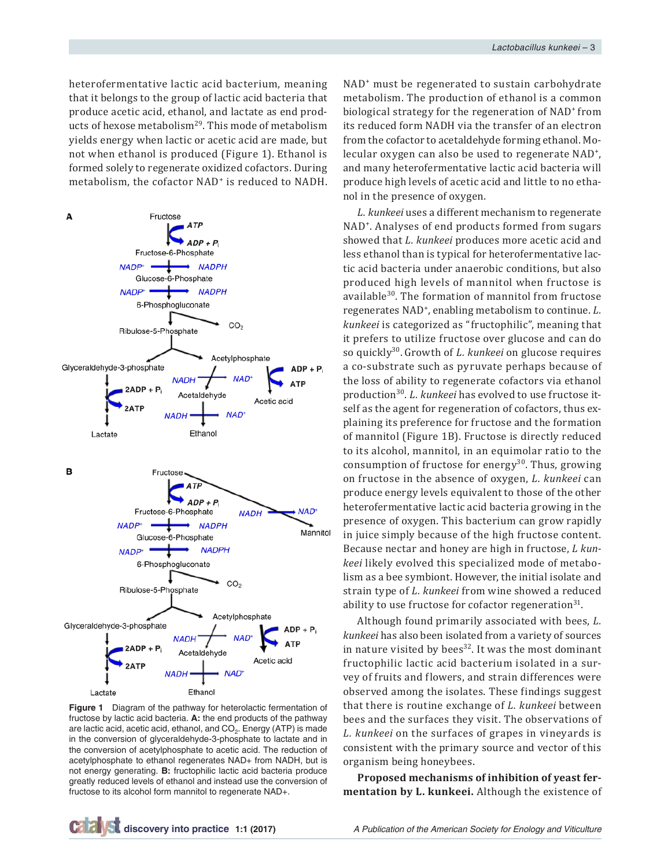heterofermentative lactic acid bacterium, meaning that it belongs to the group of lactic acid bacteria that produce acetic acid, ethanol, and lactate as end products of hexose metabolism<sup>29</sup>. This mode of metabolism yields energy when lactic or acetic acid are made, but not when ethanol is produced (Figure 1). Ethanol is formed solely to regenerate oxidized cofactors. During metabolism, the cofactor NAD<sup>+</sup> is reduced to NADH.



**Figure 1** Diagram of the pathway for heterolactic fermentation of fructose by lactic acid bacteria. **A:** the end products of the pathway are lactic acid, acetic acid, ethanol, and  $CO<sub>2</sub>$ . Energy (ATP) is made in the conversion of glyceraldehyde-3-phosphate to lactate and in the conversion of acetylphosphate to acetic acid. The reduction of acetylphosphate to ethanol regenerates NAD+ from NADH, but is not energy generating. **B:** fructophilic lactic acid bacteria produce greatly reduced levels of ethanol and instead use the conversion of fructose to its alcohol form mannitol to regenerate NAD+.

NAD<sup>+</sup> must be regenerated to sustain carbohydrate metabolism. The production of ethanol is a common biological strategy for the regeneration of NAD<sup>+</sup> from its reduced form NADH via the transfer of an electron from the cofactor to acetaldehyde forming ethanol. Molecular oxygen can also be used to regenerate NAD<sup>+</sup>, and many heterofermentative lactic acid bacteria will produce high levels of acetic acid and little to no ethanol in the presence of oxygen.

*L. kunkeei* uses a different mechanism to regenerate NAD<sup>+</sup>. Analyses of end products formed from sugars showed that *L. kunkeei* produces more acetic acid and less ethanol than is typical for heterofermentative lactic acid bacteria under anaerobic conditions, but also produced high levels of mannitol when fructose is available30. The formation of mannitol from fructose regenerates NAD<sup>+</sup>, enabling metabolism to continue. *L. kunkeei* is categorized as "fructophilic", meaning that it prefers to utilize fructose over glucose and can do so quickly30. Growth of *L. kunkeei* on glucose requires a co-substrate such as pyruvate perhaps because of the loss of ability to regenerate cofactors via ethanol production30. *L. kunkeei* has evolved to use fructose itself as the agent for regeneration of cofactors, thus explaining its preference for fructose and the formation of mannitol (Figure 1B). Fructose is directly reduced to its alcohol, mannitol, in an equimolar ratio to the consumption of fructose for energy $30$ . Thus, growing on fructose in the absence of oxygen, *L. kunkeei* can produce energy levels equivalent to those of the other heterofermentative lactic acid bacteria growing in the presence of oxygen. This bacterium can grow rapidly in juice simply because of the high fructose content. Because nectar and honey are high in fructose, *L kunkeei* likely evolved this specialized mode of metabolism as a bee symbiont. However, the initial isolate and strain type of *L. kunkeei* from wine showed a reduced ability to use fructose for cofactor regeneration $31$ .

Although found primarily associated with bees, *L. kunkeei* has also been isolated from a variety of sources in nature visited by bees<sup>32</sup>. It was the most dominant fructophilic lactic acid bacterium isolated in a survey of fruits and flowers, and strain differences were observed among the isolates. These findings suggest that there is routine exchange of *L. kunkeei* between bees and the surfaces they visit. The observations of *L. kunkeei* on the surfaces of grapes in vineyards is consistent with the primary source and vector of this organism being honeybees.

**Proposed mechanisms of inhibition of yeast fermentation by L. kunkeei.** Although the existence of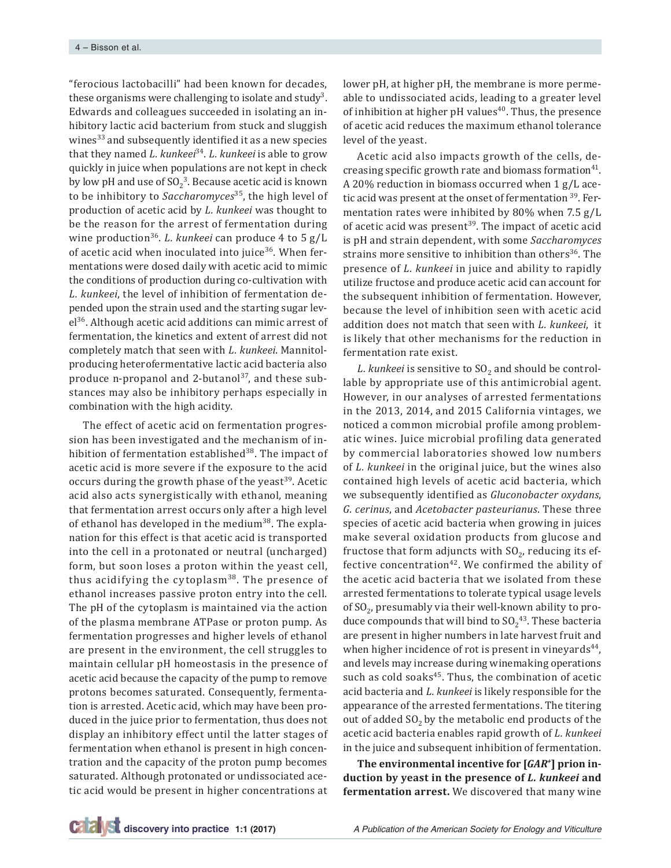"ferocious lactobacilli" had been known for decades, these organisms were challenging to isolate and study<sup>3</sup>. Edwards and colleagues succeeded in isolating an inhibitory lactic acid bacterium from stuck and sluggish wines $33$  and subsequently identified it as a new species that they named *L. kunkeei*<sup>34</sup>. *L. kunkeei* is able to grow quickly in juice when populations are not kept in check by low pH and use of  $SO_2^3$ . Because acetic acid is known to be inhibitory to *Saccharomyces*35, the high level of production of acetic acid by *L. kunkeei* was thought to be the reason for the arrest of fermentation during wine production36. *L. kunkeei* can produce 4 to 5 g/L of acetic acid when inoculated into juice<sup>36</sup>. When fermentations were dosed daily with acetic acid to mimic the conditions of production during co-cultivation with *L. kunkeei*, the level of inhibition of fermentation depended upon the strain used and the starting sugar level<sup>36</sup>. Although acetic acid additions can mimic arrest of fermentation, the kinetics and extent of arrest did not completely match that seen with *L. kunkeei*. Mannitolproducing heterofermentative lactic acid bacteria also produce n-propanol and 2-butanol<sup>37</sup>, and these substances may also be inhibitory perhaps especially in combination with the high acidity.

The effect of acetic acid on fermentation progression has been investigated and the mechanism of inhibition of fermentation established<sup>38</sup>. The impact of acetic acid is more severe if the exposure to the acid occurs during the growth phase of the yeast<sup>39</sup>. Acetic acid also acts synergistically with ethanol, meaning that fermentation arrest occurs only after a high level of ethanol has developed in the medium<sup>38</sup>. The explanation for this effect is that acetic acid is transported into the cell in a protonated or neutral (uncharged) form, but soon loses a proton within the yeast cell, thus acidifying the cytoplasm<sup>38</sup>. The presence of ethanol increases passive proton entry into the cell. The pH of the cytoplasm is maintained via the action of the plasma membrane ATPase or proton pump. As fermentation progresses and higher levels of ethanol are present in the environment, the cell struggles to maintain cellular pH homeostasis in the presence of acetic acid because the capacity of the pump to remove protons becomes saturated. Consequently, fermentation is arrested. Acetic acid, which may have been produced in the juice prior to fermentation, thus does not display an inhibitory effect until the latter stages of fermentation when ethanol is present in high concentration and the capacity of the proton pump becomes saturated. Although protonated or undissociated acetic acid would be present in higher concentrations at lower pH, at higher pH, the membrane is more permeable to undissociated acids, leading to a greater level of inhibition at higher pH values $40$ . Thus, the presence of acetic acid reduces the maximum ethanol tolerance level of the yeast.

Acetic acid also impacts growth of the cells, decreasing specific growth rate and biomass formation<sup>41</sup>. A 20% reduction in biomass occurred when 1 g/L acetic acid was present at the onset of fermentation <sup>39</sup>. Fermentation rates were inhibited by 80% when 7.5 g/L of acetic acid was present $39$ . The impact of acetic acid is pH and strain dependent, with some *Saccharomyces* strains more sensitive to inhibition than others<sup>36</sup>. The presence of *L. kunkeei* in juice and ability to rapidly utilize fructose and produce acetic acid can account for the subsequent inhibition of fermentation. However, because the level of inhibition seen with acetic acid addition does not match that seen with *L. kunkeei*, it is likely that other mechanisms for the reduction in fermentation rate exist.

*L. kunkeei* is sensitive to SO<sub>2</sub> and should be controllable by appropriate use of this antimicrobial agent. However, in our analyses of arrested fermentations in the 2013, 2014, and 2015 California vintages, we noticed a common microbial profile among problematic wines. Juice microbial profiling data generated by commercial laboratories showed low numbers of *L. kunkeei* in the original juice, but the wines also contained high levels of acetic acid bacteria, which we subsequently identified as *Gluconobacter oxydans*, *G. cerinus*, and *Acetobacter pasteurianus*. These three species of acetic acid bacteria when growing in juices make several oxidation products from glucose and fructose that form adjuncts with  $SO_2$ , reducing its effective concentration $42$ . We confirmed the ability of the acetic acid bacteria that we isolated from these arrested fermentations to tolerate typical usage levels of  $SO_2$ , presumably via their well-known ability to produce compounds that will bind to  $SO_2^{43}$ . These bacteria are present in higher numbers in late harvest fruit and when higher incidence of rot is present in vineyards $44$ , and levels may increase during winemaking operations such as cold soaks<sup>45</sup>. Thus, the combination of acetic acid bacteria and *L. kunkeei* is likely responsible for the appearance of the arrested fermentations. The titering out of added  $SO<sub>2</sub>$  by the metabolic end products of the acetic acid bacteria enables rapid growth of *L. kunkeei* in the juice and subsequent inhibition of fermentation.

**The environmental incentive for [***GAR+***] prion induction by yeast in the presence of** *L. kunkeei* **and fermentation arrest.** We discovered that many wine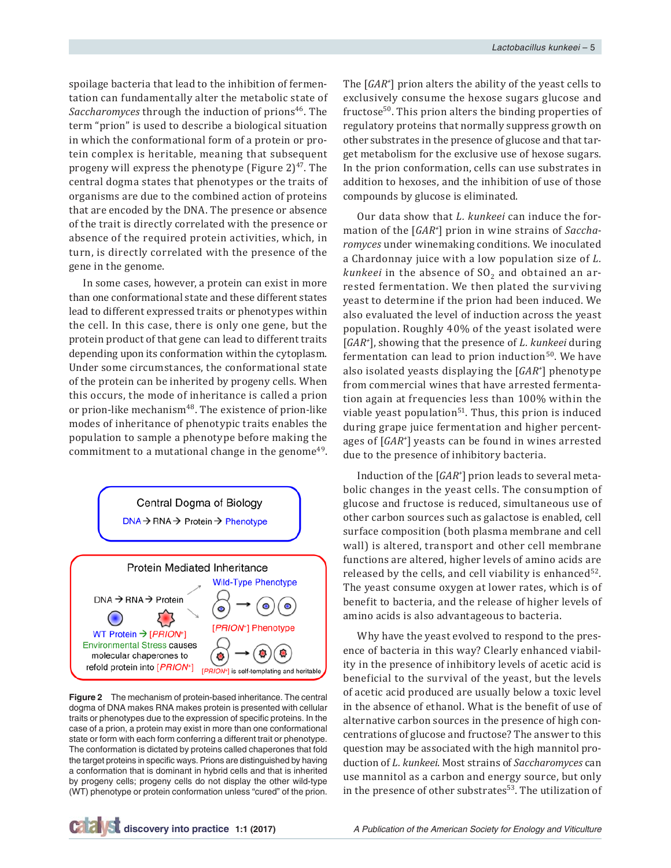spoilage bacteria that lead to the inhibition of fermentation can fundamentally alter the metabolic state of Saccharomyces through the induction of prions<sup>46</sup>. The term "prion" is used to describe a biological situation in which the conformational form of a protein or protein complex is heritable, meaning that subsequent progeny will express the phenotype (Figure  $2)^{47}$ . The central dogma states that phenotypes or the traits of organisms are due to the combined action of proteins that are encoded by the DNA. The presence or absence of the trait is directly correlated with the presence or absence of the required protein activities, which, in turn, is directly correlated with the presence of the gene in the genome.

In some cases, however, a protein can exist in more than one conformational state and these different states lead to different expressed traits or phenotypes within the cell. In this case, there is only one gene, but the protein product of that gene can lead to different traits depending upon its conformation within the cytoplasm. Under some circumstances, the conformational state of the protein can be inherited by progeny cells. When this occurs, the mode of inheritance is called a prion or prion-like mechanism<sup>48</sup>. The existence of prion-like modes of inheritance of phenotypic traits enables the population to sample a phenotype before making the commitment to a mutational change in the genome<sup>49</sup>.



**Figure 2** The mechanism of protein-based inheritance. The central dogma of DNA makes RNA makes protein is presented with cellular traits or phenotypes due to the expression of specific proteins. In the case of a prion, a protein may exist in more than one conformational state or form with each form conferring a different trait or phenotype. The conformation is dictated by proteins called chaperones that fold the target proteins in specific ways. Prions are distinguished by having a conformation that is dominant in hybrid cells and that is inherited by progeny cells; progeny cells do not display the other wild-type (WT) phenotype or protein conformation unless "cured" of the prion.

The [*GAR+* ] prion alters the ability of the yeast cells to exclusively consume the hexose sugars glucose and fructose<sup>50</sup>. This prion alters the binding properties of regulatory proteins that normally suppress growth on other substrates in the presence of glucose and that target metabolism for the exclusive use of hexose sugars. In the prion conformation, cells can use substrates in addition to hexoses, and the inhibition of use of those compounds by glucose is eliminated.

Our data show that *L. kunkeei* can induce the formation of the [*GAR+* ] prion in wine strains of *Saccharomyces* under winemaking conditions. We inoculated a Chardonnay juice with a low population size of *L. kunkeei* in the absence of  $SO<sub>2</sub>$  and obtained an arrested fermentation. We then plated the surviving yeast to determine if the prion had been induced. We also evaluated the level of induction across the yeast population. Roughly 40% of the yeast isolated were [*GAR+* ], showing that the presence of *L. kunkeei* during fermentation can lead to prion induction $50$ . We have also isolated yeasts displaying the [*GAR+* ] phenotype from commercial wines that have arrested fermentation again at frequencies less than 100% within the viable yeast population<sup>51</sup>. Thus, this prion is induced during grape juice fermentation and higher percentages of [*GAR+* ] yeasts can be found in wines arrested due to the presence of inhibitory bacteria.

Induction of the [*GAR+* ] prion leads to several metabolic changes in the yeast cells. The consumption of glucose and fructose is reduced, simultaneous use of other carbon sources such as galactose is enabled, cell surface composition (both plasma membrane and cell wall) is altered, transport and other cell membrane functions are altered, higher levels of amino acids are released by the cells, and cell viability is enhanced $52$ . The yeast consume oxygen at lower rates, which is of benefit to bacteria, and the release of higher levels of amino acids is also advantageous to bacteria.

Why have the yeast evolved to respond to the presence of bacteria in this way? Clearly enhanced viability in the presence of inhibitory levels of acetic acid is beneficial to the survival of the yeast, but the levels of acetic acid produced are usually below a toxic level in the absence of ethanol. What is the benefit of use of alternative carbon sources in the presence of high concentrations of glucose and fructose? The answer to this question may be associated with the high mannitol production of *L. kunkeei*. Most strains of *Saccharomyces* can use mannitol as a carbon and energy source, but only in the presence of other substrates<sup>53</sup>. The utilization of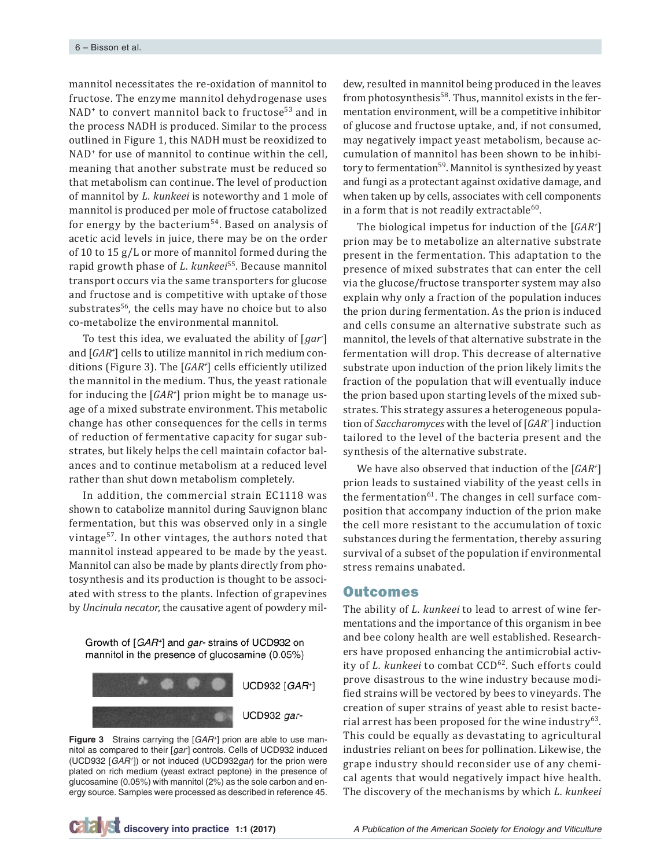mannitol necessitates the re-oxidation of mannitol to fructose. The enzyme mannitol dehydrogenase uses NAD<sup>+</sup> to convert mannitol back to fructose<sup>53</sup> and in the process NADH is produced. Similar to the process outlined in Figure 1, this NADH must be reoxidized to NAD<sup>+</sup> for use of mannitol to continue within the cell, meaning that another substrate must be reduced so that metabolism can continue. The level of production of mannitol by *L. kunkeei* is noteworthy and 1 mole of mannitol is produced per mole of fructose catabolized for energy by the bacterium<sup>54</sup>. Based on analysis of acetic acid levels in juice, there may be on the order of 10 to 15 g/L or more of mannitol formed during the rapid growth phase of *L. kunkeei*<sup>55</sup>. Because mannitol transport occurs via the same transporters for glucose and fructose and is competitive with uptake of those substrates<sup>56</sup>, the cells may have no choice but to also co-metabolize the environmental mannitol.

To test this idea, we evaluated the ability of [*gar-* ] and [*GAR+* ] cells to utilize mannitol in rich medium conditions (Figure 3). The [*GAR+* ] cells efficiently utilized the mannitol in the medium. Thus, the yeast rationale for inducing the [*GAR+* ] prion might be to manage usage of a mixed substrate environment. This metabolic change has other consequences for the cells in terms of reduction of fermentative capacity for sugar substrates, but likely helps the cell maintain cofactor balances and to continue metabolism at a reduced level rather than shut down metabolism completely.

In addition, the commercial strain EC1118 was shown to catabolize mannitol during Sauvignon blanc fermentation, but this was observed only in a single vintage<sup>57</sup>. In other vintages, the authors noted that mannitol instead appeared to be made by the yeast. Mannitol can also be made by plants directly from photosynthesis and its production is thought to be associated with stress to the plants. Infection of grapevines by *Uncinula necator*, the causative agent of powdery mil-

Growth of [GAR+] and gar-strains of UCD932 on mannitol in the presence of glucosamine (0.05%)



**Figure 3** Strains carrying the [*GAR+*] prion are able to use mannitol as compared to their [gar] controls. Cells of UCD932 induced (UCD932 [*GAR+*]) or not induced (UCD932*gar*) for the prion were plated on rich medium (yeast extract peptone) in the presence of glucosamine (0.05%) with mannitol (2%) as the sole carbon and energy source. Samples were processed as described in reference 45.

dew, resulted in mannitol being produced in the leaves from photosynthesis $58$ . Thus, mannitol exists in the fermentation environment, will be a competitive inhibitor of glucose and fructose uptake, and, if not consumed, may negatively impact yeast metabolism, because accumulation of mannitol has been shown to be inhibitory to fermentation<sup>59</sup>. Mannitol is synthesized by yeast and fungi as a protectant against oxidative damage, and when taken up by cells, associates with cell components in a form that is not readily extractable<sup>60</sup>.

The biological impetus for induction of the [*GAR+* ] prion may be to metabolize an alternative substrate present in the fermentation. This adaptation to the presence of mixed substrates that can enter the cell via the glucose/fructose transporter system may also explain why only a fraction of the population induces the prion during fermentation. As the prion is induced and cells consume an alternative substrate such as mannitol, the levels of that alternative substrate in the fermentation will drop. This decrease of alternative substrate upon induction of the prion likely limits the fraction of the population that will eventually induce the prion based upon starting levels of the mixed substrates. This strategy assures a heterogeneous population of *Saccharomyces* with the level of [*GAR*<sup>+</sup> ] induction tailored to the level of the bacteria present and the synthesis of the alternative substrate.

We have also observed that induction of the [*GAR+* ] prion leads to sustained viability of the yeast cells in the fermentation $61$ . The changes in cell surface composition that accompany induction of the prion make the cell more resistant to the accumulation of toxic substances during the fermentation, thereby assuring survival of a subset of the population if environmental stress remains unabated.

#### **Outcomes**

The ability of *L. kunkeei* to lead to arrest of wine fermentations and the importance of this organism in bee and bee colony health are well established. Researchers have proposed enhancing the antimicrobial activity of *L. kunkeei* to combat CCD<sup>62</sup>. Such efforts could prove disastrous to the wine industry because modified strains will be vectored by bees to vineyards. The creation of super strains of yeast able to resist bacterial arrest has been proposed for the wine industry<sup>63</sup>. This could be equally as devastating to agricultural industries reliant on bees for pollination. Likewise, the grape industry should reconsider use of any chemical agents that would negatively impact hive health. The discovery of the mechanisms by which *L. kunkeei*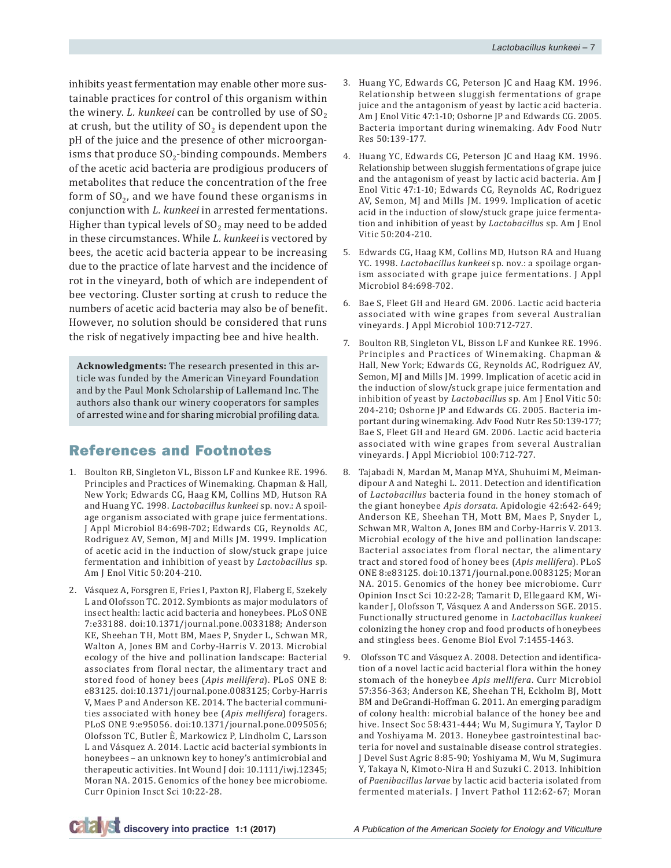inhibits yeast fermentation may enable other more sustainable practices for control of this organism within the winery.  $L$ . kunkeei can be controlled by use of  $SO<sub>2</sub>$ at crush, but the utility of  $SO<sub>2</sub>$  is dependent upon the pH of the juice and the presence of other microorganisms that produce  $SO_2$ -binding compounds. Members of the acetic acid bacteria are prodigious producers of metabolites that reduce the concentration of the free form of  $SO<sub>2</sub>$ , and we have found these organisms in conjunction with *L. kunkeei* in arrested fermentations. Higher than typical levels of  $SO<sub>2</sub>$  may need to be added in these circumstances. While *L. kunkeei* is vectored by bees, the acetic acid bacteria appear to be increasing due to the practice of late harvest and the incidence of rot in the vineyard, both of which are independent of bee vectoring. Cluster sorting at crush to reduce the numbers of acetic acid bacteria may also be of benefit. However, no solution should be considered that runs the risk of negatively impacting bee and hive health.

**Acknowledgments:** The research presented in this article was funded by the American Vineyard Foundation and by the Paul Monk Scholarship of Lallemand Inc. The authors also thank our winery cooperators for samples of arrested wine and for sharing microbial profiling data.

# References and Footnotes

- 1. Boulton RB, Singleton VL, Bisson LF and Kunkee RE. 1996. Principles and Practices of Winemaking. Chapman & Hall, New York; Edwards CG, Haag KM, Collins MD, Hutson RA and Huang YC. 1998. *Lactobacillus kunkeei* sp. nov.: A spoilage organism associated with grape juice fermentations. J Appl Microbiol 84:698-702; Edwards CG, Reynolds AC, Rodriguez AV, Semon, MJ and Mills JM. 1999. Implication of acetic acid in the induction of slow/stuck grape juice fermentation and inhibition of yeast by *Lactobacillu*s sp. Am J Enol Vitic 50:204-210.
- 2. Vásquez A, Forsgren E, Fries I, Paxton RJ, Flaberg E, Szekely L and Olofsson TC. 2012. Symbionts as major modulators of insect health: lactic acid bacteria and honeybees. PLoS ONE 7:e33188. doi:10.1371/journal.pone.0033188; Anderson KE, Sheehan TH, Mott BM, Maes P, Snyder L, Schwan MR, Walton A, Jones BM and Corby-Harris V. 2013. Microbial ecology of the hive and pollination landscape: Bacterial associates from floral nectar, the alimentary tract and stored food of honey bees (*Apis mellifera*). PLoS ONE 8: e83125. doi:10.1371/journal.pone.0083125; Corby-Harris V, Maes P and Anderson KE. 2014. The bacterial communities associated with honey bee (*Apis mellifera*) foragers. PLoS ONE 9:e95056. doi:10.1371/journal.pone.0095056; Olofsson TC, Butler È, Markowicz P, Lindholm C, Larsson L and Vásquez A. 2014. Lactic acid bacterial symbionts in honeybees – an unknown key to honey's antimicrobial and therapeutic activities. Int Wound J doi: 10.1111/iwj.12345; Moran NA. 2015. Genomics of the honey bee microbiome. Curr Opinion Insct Sci 10:22-28.
- 3. Huang YC, Edwards CG, Peterson JC and Haag KM. 1996. Relationship between sluggish fermentations of grape juice and the antagonism of yeast by lactic acid bacteria. Am J Enol Vitic 47:1-10; Osborne JP and Edwards CG. 2005. Bacteria important during winemaking. Adv Food Nutr Res 50:139-177.
- 4. Huang YC, Edwards CG, Peterson JC and Haag KM. 1996. Relationship between sluggish fermentations of grape juice and the antagonism of yeast by lactic acid bacteria. Am J Enol Vitic 47:1-10; Edwards CG, Reynolds AC, Rodriguez AV, Semon, MJ and Mills JM. 1999. Implication of acetic acid in the induction of slow/stuck grape juice fermentation and inhibition of yeast by *Lactobacillu*s sp. Am J Enol Vitic 50:204-210.
- 5. Edwards CG, Haag KM, Collins MD, Hutson RA and Huang YC. 1998. *Lactobacillus kunkeei* sp. nov.: a spoilage organism associated with grape juice fermentations. J Appl Microbiol 84:698-702.
- 6. Bae S, Fleet GH and Heard GM. 2006. Lactic acid bacteria associated with wine grapes from several Australian vineyards. J Appl Microbiol 100:712-727.
- 7. Boulton RB, Singleton VL, Bisson LF and Kunkee RE. 1996. Principles and Practices of Winemaking. Chapman & Hall, New York; Edwards CG, Reynolds AC, Rodriguez AV, Semon, MJ and Mills JM. 1999. Implication of acetic acid in the induction of slow/stuck grape juice fermentation and inhibition of yeast by *Lactobacillu*s sp. Am J Enol Vitic 50: 204-210; Osborne JP and Edwards CG. 2005. Bacteria important during winemaking. Adv Food Nutr Res 50:139-177; Bae S, Fleet GH and Heard GM. 2006. Lactic acid bacteria associated with wine grapes from several Australian vineyards. J Appl Micriobiol 100:712-727.
- 8. Tajabadi N, Mardan M, Manap MYA, Shuhuimi M, Meimandipour A and Nateghi L. 2011. Detection and identification of *Lactobacillus* bacteria found in the honey stomach of the giant honeybee *Apis dorsata*. Apidologie 42:642-649; Anderson KE, Sheehan TH, Mott BM, Maes P, Snyder L, Schwan MR, Walton A, Jones BM and Corby-Harris V. 2013. Microbial ecology of the hive and pollination landscape: Bacterial associates from floral nectar, the alimentary tract and stored food of honey bees (*Apis mellifera*). PLoS ONE 8:e83125. doi:10.1371/journal.pone.0083125; Moran NA. 2015. Genomics of the honey bee microbiome. Curr Opinion Insct Sci 10:22-28; Tamarit D, Ellegaard KM, Wikander J, Olofsson T, Vásquez A and Andersson SGE. 2015. Functionally structured genome in *Lactobacillus kunkeei* colonizing the honey crop and food products of honeybees and stingless bees. Genome Biol Evol 7:1455-1463.
- 9. Olofsson TC and Vásquez A. 2008. Detection and identification of a novel lactic acid bacterial flora within the honey stomach of the honeybee *Apis mellifera*. Curr Microbiol 57:356-363; Anderson KE, Sheehan TH, Eckholm BJ, Mott BM and DeGrandi-Hoffman G. 2011. An emerging paradigm of colony health: microbial balance of the honey bee and hive. Insect Soc 58:431-444; Wu M, Sugimura Y, Taylor D and Yoshiyama M. 2013. Honeybee gastrointestinal bacteria for novel and sustainable disease control strategies. J Devel Sust Agric 8:85-90; Yoshiyama M, Wu M, Sugimura Y, Takaya N, Kimoto-Nira H and Suzuki C. 2013. Inhibition of *Paenibacillus larvae* by lactic acid bacteria isolated from fermented materials. J Invert Pathol 112:62-67; Moran

**discovery into practice 1:1 (2017)** *A Publication of the American Society for Enology and Viticulture*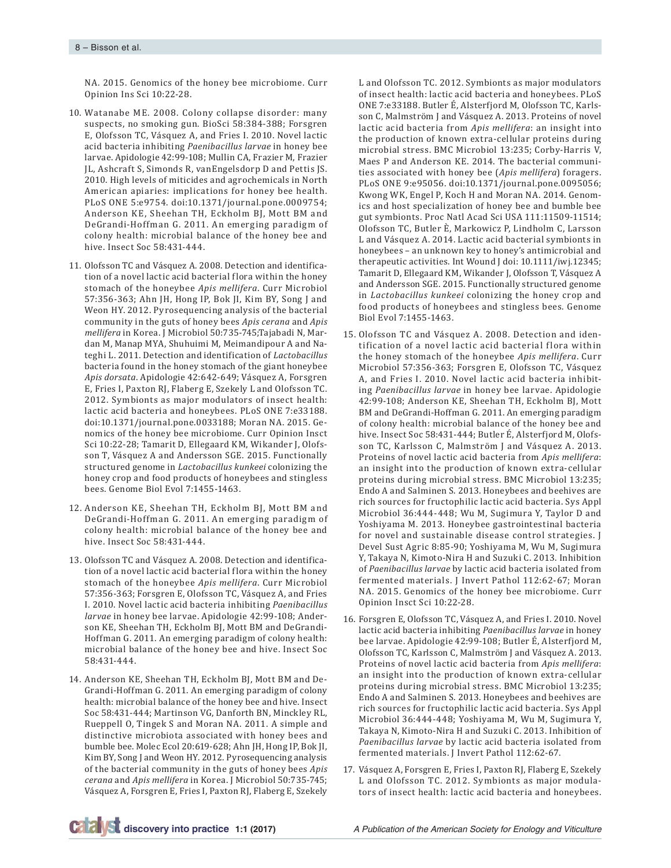NA. 2015. Genomics of the honey bee microbiome. Curr Opinion Ins Sci 10:22-28.

- 10. Watanabe ME. 2008. Colony collapse disorder: many suspects, no smoking gun. BioSci 58:384-388; Forsgren E, Olofsson TC, Vásquez A, and Fries I. 2010. Novel lactic acid bacteria inhibiting *Paenibacillus larvae* in honey bee larvae. Apidologie 42:99-108; Mullin CA, Frazier M, Frazier JL, Ashcraft S, Simonds R, vanEngelsdorp D and Pettis JS. 2010. High levels of miticides and agrochemicals in North American apiaries: implications for honey bee health. PLoS ONE 5:e9754. doi:10.1371/journal.pone.0009754; Anderson KE, Sheehan TH, Eckholm BJ, Mott BM and DeGrandi-Hoffman G. 2011. An emerging paradigm of colony health: microbial balance of the honey bee and hive. Insect Soc 58:431-444.
- 11. Olofsson TC and Vásquez A. 2008. Detection and identification of a novel lactic acid bacterial flora within the honey stomach of the honeybee *Apis mellifera*. Curr Microbiol 57:356-363; Ahn JH, Hong IP, Bok JI, Kim BY, Song J and Weon HY. 2012. Pyrosequencing analysis of the bacterial community in the guts of honey bees *Apis cerana* and *Apis mellifera* in Korea. J Microbiol 50:735-745;Tajabadi N, Mardan M, Manap MYA, Shuhuimi M, Meimandipour A and Nateghi L. 2011. Detection and identification of *Lactobacillus* bacteria found in the honey stomach of the giant honeybee *Apis dorsata*. Apidologie 42:642-649; Vásquez A, Forsgren E, Fries I, Paxton RJ, Flaberg E, Szekely L and Olofsson TC. 2012. Symbionts as major modulators of insect health: lactic acid bacteria and honeybees. PLoS ONE 7:e33188. doi:10.1371/journal.pone.0033188; Moran NA. 2015. Genomics of the honey bee microbiome. Curr Opinion Insct Sci 10:22-28; Tamarit D, Ellegaard KM, Wikander J, Olofsson T, Vásquez A and Andersson SGE. 2015. Functionally structured genome in *Lactobacillus kunkeei* colonizing the honey crop and food products of honeybees and stingless bees. Genome Biol Evol 7:1455-1463.
- 12. Anderson KE, Sheehan TH, Eckholm BJ, Mott BM and DeGrandi-Hoffman G. 2011. An emerging paradigm of colony health: microbial balance of the honey bee and hive. Insect Soc 58:431-444.
- 13. Olofsson TC and Vásquez A. 2008. Detection and identification of a novel lactic acid bacterial flora within the honey stomach of the honeybee *Apis mellifera*. Curr Microbiol 57:356-363; Forsgren E, Olofsson TC, Vásquez A, and Fries I. 2010. Novel lactic acid bacteria inhibiting *Paenibacillus larvae* in honey bee larvae. Apidologie 42:99-108; Anderson KE, Sheehan TH, Eckholm BJ, Mott BM and DeGrandi-Hoffman G. 2011. An emerging paradigm of colony health: microbial balance of the honey bee and hive. Insect Soc 58:431-444.
- 14. Anderson KE, Sheehan TH, Eckholm BJ, Mott BM and De-Grandi-Hoffman G. 2011. An emerging paradigm of colony health: microbial balance of the honey bee and hive. Insect Soc 58:431-444; Martinson VG, Danforth BN, Minckley RL, Rueppell O, Tingek S and Moran NA. 2011. A simple and distinctive microbiota associated with honey bees and bumble bee. Molec Ecol 20:619-628; Ahn JH, Hong IP, Bok JI, Kim BY, Song J and Weon HY. 2012. Pyrosequencing analysis of the bacterial community in the guts of honey bees *Apis cerana* and *Apis mellifera* in Korea. J Microbiol 50:735-745; Vásquez A, Forsgren E, Fries I, Paxton RJ, Flaberg E, Szekely

L and Olofsson TC. 2012. Symbionts as major modulators of insect health: lactic acid bacteria and honeybees. PLoS ONE 7:e33188. Butler É, Alsterfjord M, Olofsson TC, Karlsson C, Malmström J and Vásquez A. 2013. Proteins of novel lactic acid bacteria from *Apis mellifera*: an insight into the production of known extra-cellular proteins during microbial stress. BMC Microbiol 13:235; Corby-Harris V, Maes P and Anderson KE. 2014. The bacterial communities associated with honey bee (*Apis mellifera*) foragers. PLoS ONE 9:e95056. doi:10.1371/journal.pone.0095056; Kwong WK, Engel P, Koch H and Moran NA. 2014. Genomics and host specialization of honey bee and bumble bee gut symbionts. Proc Natl Acad Sci USA 111:11509-11514; Olofsson TC, Butler È, Markowicz P, Lindholm C, Larsson L and Vásquez A. 2014. Lactic acid bacterial symbionts in honeybees – an unknown key to honey's antimicrobial and therapeutic activities. Int Wound J doi: 10.1111/iwj.12345; Tamarit D, Ellegaard KM, Wikander J, Olofsson T, Vásquez A and Andersson SGE. 2015. Functionally structured genome in *Lactobacillus kunkeei* colonizing the honey crop and food products of honeybees and stingless bees. Genome Biol Evol 7:1455-1463.

- 15. Olofsson TC and Vásquez A. 2008. Detection and identification of a novel lactic acid bacterial flora within the honey stomach of the honeybee *Apis mellifera*. Curr Microbiol 57:356-363; Forsgren E, Olofsson TC, Vásquez A, and Fries I. 2010. Novel lactic acid bacteria inhibiting *Paenibacillus larvae* in honey bee larvae. Apidologie 42:99-108; Anderson KE, Sheehan TH, Eckholm BJ, Mott BM and DeGrandi-Hoffman G. 2011. An emerging paradigm of colony health: microbial balance of the honey bee and hive. Insect Soc 58:431-444; Butler É, Alsterfjord M, Olofsson TC, Karlsson C, Malmström J and Vásquez A. 2013. Proteins of novel lactic acid bacteria from *Apis mellifera*: an insight into the production of known extra-cellular proteins during microbial stress. BMC Microbiol 13:235; Endo A and Salminen S. 2013. Honeybees and beehives are rich sources for fructophilic lactic acid bacteria. Sys Appl Microbiol 36:444-448; Wu M, Sugimura Y, Taylor D and Yoshiyama M. 2013. Honeybee gastrointestinal bacteria for novel and sustainable disease control strategies. J Devel Sust Agric 8:85-90; Yoshiyama M, Wu M, Sugimura Y, Takaya N, Kimoto-Nira H and Suzuki C. 2013. Inhibition of *Paenibacillus larvae* by lactic acid bacteria isolated from fermented materials. J Invert Pathol 112:62-67; Moran NA. 2015. Genomics of the honey bee microbiome. Curr Opinion Insct Sci 10:22-28.
- 16. Forsgren E, Olofsson TC, Vásquez A, and Fries I. 2010. Novel lactic acid bacteria inhibiting *Paenibacillus larvae* in honey bee larvae. Apidologie 42:99-108; Butler É, Alsterfjord M, Olofsson TC, Karlsson C, Malmström J and Vásquez A. 2013. Proteins of novel lactic acid bacteria from *Apis mellifera*: an insight into the production of known extra-cellular proteins during microbial stress. BMC Microbiol 13:235; Endo A and Salminen S. 2013. Honeybees and beehives are rich sources for fructophilic lactic acid bacteria. Sys Appl Microbiol 36:444-448; Yoshiyama M, Wu M, Sugimura Y, Takaya N, Kimoto-Nira H and Suzuki C. 2013. Inhibition of *Paenibacillus larvae* by lactic acid bacteria isolated from fermented materials. J Invert Pathol 112:62-67.
- 17. Vásquez A, Forsgren E, Fries I, Paxton RJ, Flaberg E, Szekely L and Olofsson TC. 2012. Symbionts as major modulators of insect health: lactic acid bacteria and honeybees.

**discovery into practice 1:1 (2017)** *A Publication of the American Society for Enology and Viticulture*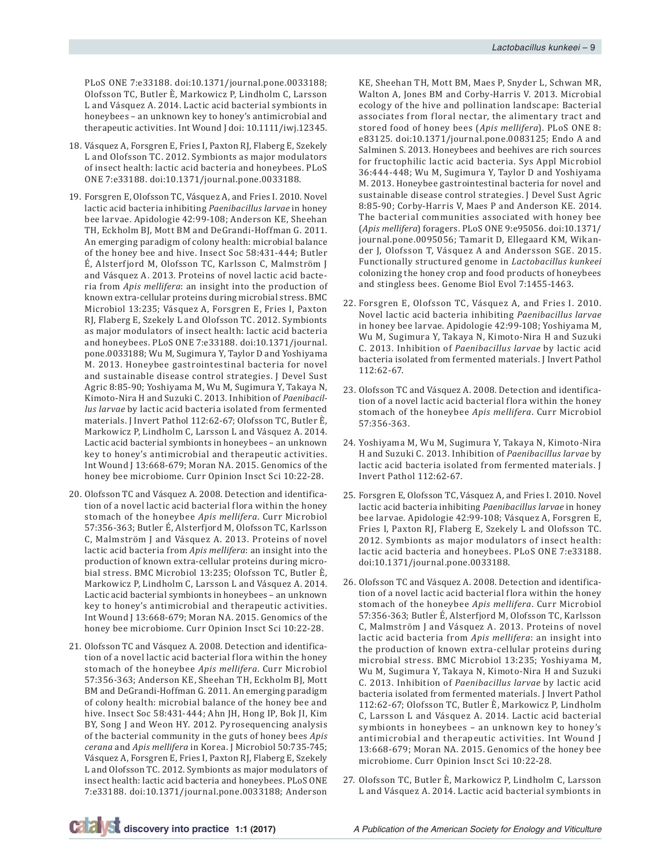PLoS ONE 7:e33188. doi:10.1371/journal.pone.0033188; Olofsson TC, Butler È, Markowicz P, Lindholm C, Larsson L and Vásquez A. 2014. Lactic acid bacterial symbionts in honeybees – an unknown key to honey's antimicrobial and therapeutic activities. Int Wound J doi: 10.1111/iwj.12345.

- 18. Vásquez A, Forsgren E, Fries I, Paxton RJ, Flaberg E, Szekely L and Olofsson TC. 2012. Symbionts as major modulators of insect health: lactic acid bacteria and honeybees. PLoS ONE 7:e33188. doi:10.1371/journal.pone.0033188.
- 19. Forsgren E, Olofsson TC, Vásquez A, and Fries I. 2010. Novel lactic acid bacteria inhibiting *Paenibacillus larvae* in honey bee larvae. Apidologie 42:99-108; Anderson KE, Sheehan TH, Eckholm BJ, Mott BM and DeGrandi-Hoffman G. 2011. An emerging paradigm of colony health: microbial balance of the honey bee and hive. Insect Soc 58:431-444; Butler É, Alsterfjord M, Olofsson TC, Karlsson C, Malmström J and Vásquez A. 2013. Proteins of novel lactic acid bacteria from *Apis mellifera*: an insight into the production of known extra-cellular proteins during microbial stress. BMC Microbiol 13:235; Vásquez A, Forsgren E, Fries I, Paxton RJ, Flaberg E, Szekely L and Olofsson TC. 2012. Symbionts as major modulators of insect health: lactic acid bacteria and honeybees. PLoS ONE 7:e33188. doi:10.1371/journal. pone.0033188; Wu M, Sugimura Y, Taylor D and Yoshiyama M. 2013. Honeybee gastrointestinal bacteria for novel and sustainable disease control strategies. J Devel Sust Agric 8:85-90; Yoshiyama M, Wu M, Sugimura Y, Takaya N, Kimoto-Nira H and Suzuki C. 2013. Inhibition of *Paenibacillus larvae* by lactic acid bacteria isolated from fermented materials. J Invert Pathol 112:62-67; Olofsson TC, Butler È, Markowicz P, Lindholm C, Larsson L and Vásquez A. 2014. Lactic acid bacterial symbionts in honeybees – an unknown key to honey's antimicrobial and therapeutic activities. Int Wound J 13:668-679; Moran NA. 2015. Genomics of the honey bee microbiome. Curr Opinion Insct Sci 10:22-28.
- 20. Olofsson TC and Vásquez A. 2008. Detection and identification of a novel lactic acid bacterial flora within the honey stomach of the honeybee *Apis mellifera*. Curr Microbiol 57:356-363; Butler É, Alsterfjord M, Olofsson TC, Karlsson C, Malmström J and Vásquez A. 2013. Proteins of novel lactic acid bacteria from *Apis mellifera*: an insight into the production of known extra-cellular proteins during microbial stress. BMC Microbiol 13:235; Olofsson TC, Butler È, Markowicz P, Lindholm C, Larsson L and Vásquez A. 2014. Lactic acid bacterial symbionts in honeybees – an unknown key to honey's antimicrobial and therapeutic activities. Int Wound J 13:668-679; Moran NA. 2015. Genomics of the honey bee microbiome. Curr Opinion Insct Sci 10:22-28.
- 21. Olofsson TC and Vásquez A. 2008. Detection and identification of a novel lactic acid bacterial flora within the honey stomach of the honeybee *Apis mellifera*. Curr Microbiol 57:356-363; Anderson KE, Sheehan TH, Eckholm BJ, Mott BM and DeGrandi-Hoffman G. 2011. An emerging paradigm of colony health: microbial balance of the honey bee and hive. Insect Soc 58:431-444; Ahn JH, Hong IP, Bok JI, Kim BY, Song J and Weon HY. 2012. Pyrosequencing analysis of the bacterial community in the guts of honey bees *Apis cerana* and *Apis mellifera* in Korea. J Microbiol 50:735-745; Vásquez A, Forsgren E, Fries I, Paxton RJ, Flaberg E, Szekely L and Olofsson TC. 2012. Symbionts as major modulators of insect health: lactic acid bacteria and honeybees. PLoS ONE 7:e33188. doi:10.1371/journal.pone.0033188; Anderson

KE, Sheehan TH, Mott BM, Maes P, Snyder L, Schwan MR, Walton A, Jones BM and Corby-Harris V. 2013. Microbial ecology of the hive and pollination landscape: Bacterial associates from floral nectar, the alimentary tract and stored food of honey bees (*Apis mellifera*). PLoS ONE 8: e83125. doi:10.1371/journal.pone.0083125; Endo A and Salminen S. 2013. Honeybees and beehives are rich sources for fructophilic lactic acid bacteria. Sys Appl Microbiol 36:444-448; Wu M, Sugimura Y, Taylor D and Yoshiyama M. 2013. Honeybee gastrointestinal bacteria for novel and sustainable disease control strategies. J Devel Sust Agric 8:85-90; Corby-Harris V, Maes P and Anderson KE. 2014. The bacterial communities associated with honey bee (*Apis mellifera*) foragers. PLoS ONE 9:e95056. doi:10.1371/ journal.pone.0095056; Tamarit D, Ellegaard KM, Wikander J, Olofsson T, Vásquez A and Andersson SGE. 2015. Functionally structured genome in *Lactobacillus kunkeei* colonizing the honey crop and food products of honeybees and stingless bees. Genome Biol Evol 7:1455-1463.

- 22. Forsgren E, Olofsson TC, Vásquez A, and Fries I. 2010. Novel lactic acid bacteria inhibiting *Paenibacillus larvae* in honey bee larvae. Apidologie 42:99-108; Yoshiyama M, Wu M, Sugimura Y, Takaya N, Kimoto-Nira H and Suzuki C. 2013. Inhibition of *Paenibacillus larvae* by lactic acid bacteria isolated from fermented materials. J Invert Pathol 112:62-67.
- 23. Olofsson TC and Vásquez A. 2008. Detection and identification of a novel lactic acid bacterial flora within the honey stomach of the honeybee *Apis mellifera*. Curr Microbiol 57:356-363.
- 24. Yoshiyama M, Wu M, Sugimura Y, Takaya N, Kimoto-Nira H and Suzuki C. 2013. Inhibition of *Paenibacillus larvae* by lactic acid bacteria isolated from fermented materials. J Invert Pathol 112:62-67.
- 25. Forsgren E, Olofsson TC, Vásquez A, and Fries I. 2010. Novel lactic acid bacteria inhibiting *Paenibacillus larvae* in honey bee larvae. Apidologie 42:99-108; Vásquez A, Forsgren E, Fries I, Paxton RJ, Flaberg E, Szekely L and Olofsson TC. 2012. Symbionts as major modulators of insect health: lactic acid bacteria and honeybees. PLoS ONE 7:e33188. doi:10.1371/journal.pone.0033188.
- 26. Olofsson TC and Vásquez A. 2008. Detection and identification of a novel lactic acid bacterial flora within the honey stomach of the honeybee *Apis mellifera*. Curr Microbiol 57:356-363; Butler É, Alsterfjord M, Olofsson TC, Karlsson C, Malmström J and Vásquez A. 2013. Proteins of novel lactic acid bacteria from *Apis mellifera*: an insight into the production of known extra-cellular proteins during microbial stress. BMC Microbiol 13:235; Yoshiyama M, Wu M, Sugimura Y, Takaya N, Kimoto-Nira H and Suzuki C. 2013. Inhibition of *Paenibacillus larvae* by lactic acid bacteria isolated from fermented materials. J Invert Pathol 112:62-67; Olofsson TC, Butler È, Markowicz P, Lindholm C, Larsson L and Vásquez A. 2014. Lactic acid bacterial symbionts in honeybees – an unknown key to honey's antimicrobial and therapeutic activities. Int Wound J 13:668-679; Moran NA. 2015. Genomics of the honey bee microbiome. Curr Opinion Insct Sci 10:22-28.
- 27. Olofsson TC, Butler È, Markowicz P, Lindholm C, Larsson L and Vásquez A. 2014. Lactic acid bacterial symbionts in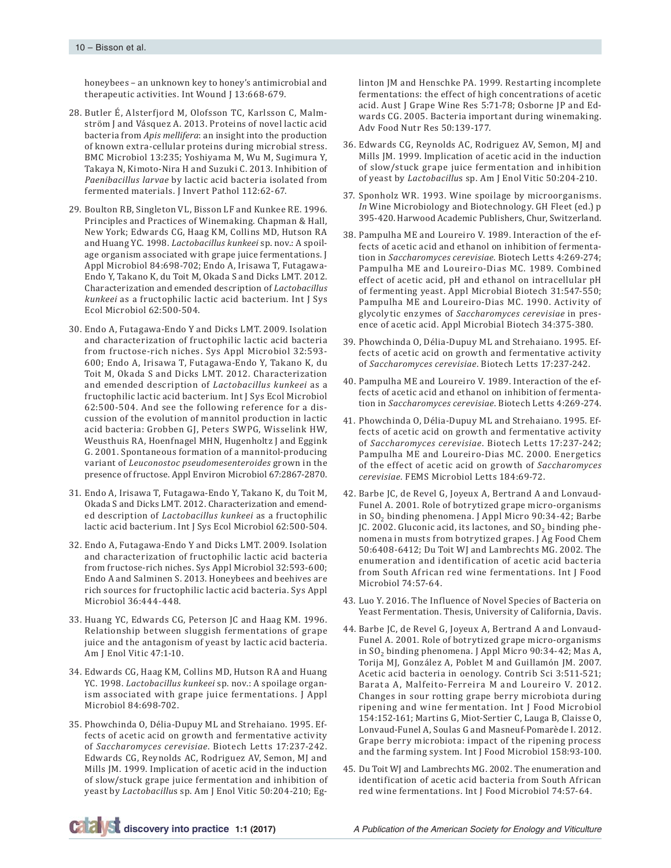honeybees – an unknown key to honey's antimicrobial and therapeutic activities. Int Wound J 13:668-679.

- 28. Butler É, Alsterfjord M, Olofsson TC, Karlsson C, Malmström J and Vásquez A. 2013. Proteins of novel lactic acid bacteria from *Apis mellifera*: an insight into the production of known extra-cellular proteins during microbial stress. BMC Microbiol 13:235; Yoshiyama M, Wu M, Sugimura Y, Takaya N, Kimoto-Nira H and Suzuki C. 2013. Inhibition of *Paenibacillus larvae* by lactic acid bacteria isolated from fermented materials. J Invert Pathol 112:62-67.
- 29. Boulton RB, Singleton VL, Bisson LF and Kunkee RE. 1996. Principles and Practices of Winemaking. Chapman & Hall, New York; Edwards CG, Haag KM, Collins MD, Hutson RA and Huang YC. 1998. *Lactobacillus kunkeei* sp. nov.: A spoilage organism associated with grape juice fermentations. J Appl Microbiol 84:698-702; Endo A, Irisawa T, Futagawa-Endo Y, Takano K, du Toit M, Okada S and Dicks LMT. 2012. Characterization and emended description of *Lactobacillus kunkeei* as a fructophilic lactic acid bacterium. Int J Sys Ecol Microbiol 62:500-504.
- 30. Endo A, Futagawa-Endo Y and Dicks LMT. 2009. Isolation and characterization of fructophilic lactic acid bacteria from fructose-rich niches. Sys Appl Microbiol 32:593- 600; Endo A, Irisawa T, Futagawa-Endo Y, Takano K, du Toit M, Okada S and Dicks LMT. 2012. Characterization and emended description of *Lactobacillus kunkeei* as a fructophilic lactic acid bacterium. Int J Sys Ecol Microbiol 62:500-504. And see the following reference for a discussion of the evolution of mannitol production in lactic acid bacteria: Grobben GJ, Peters SWPG, Wisselink HW, Weusthuis RA, Hoenfnagel MHN, Hugenholtz J and Eggink G. 2001. Spontaneous formation of a mannitol-producing variant of *Leuconostoc pseudomesenteroides* grown in the presence of fructose. Appl Environ Microbiol 67:2867-2870.
- 31. Endo A, Irisawa T, Futagawa-Endo Y, Takano K, du Toit M, Okada S and Dicks LMT. 2012. Characterization and emended description of *Lactobacillus kunkeei* as a fructophilic lactic acid bacterium. Int J Sys Ecol Microbiol 62:500-504.
- 32. Endo A, Futagawa-Endo Y and Dicks LMT. 2009. Isolation and characterization of fructophilic lactic acid bacteria from fructose-rich niches. Sys Appl Microbiol 32:593-600; Endo A and Salminen S. 2013. Honeybees and beehives are rich sources for fructophilic lactic acid bacteria. Sys Appl Microbiol 36:444-448.
- 33. Huang YC, Edwards CG, Peterson JC and Haag KM. 1996. Relationship between sluggish fermentations of grape juice and the antagonism of yeast by lactic acid bacteria. Am J Enol Vitic 47:1-10.
- 34. Edwards CG, Haag KM, Collins MD, Hutson RA and Huang YC. 1998. *Lactobacillus kunkeei* sp. nov.: A spoilage organism associated with grape juice fermentations. J Appl Microbiol 84:698-702.
- 35. Phowchinda O, Délia-Dupuy ML and Strehaiano. 1995. Effects of acetic acid on growth and fermentative activity of *Saccharomyces cerevisiae*. Biotech Letts 17:237-242. Edwards CG, Reynolds AC, Rodriguez AV, Semon, MJ and Mills JM. 1999. Implication of acetic acid in the induction of slow/stuck grape juice fermentation and inhibition of yeast by *Lactobacillu*s sp. Am J Enol Vitic 50:204-210; Eg-

linton JM and Henschke PA. 1999. Restarting incomplete fermentations: the effect of high concentrations of acetic acid. Aust J Grape Wine Res 5:71-78; Osborne JP and Edwards CG. 2005. Bacteria important during winemaking. Adv Food Nutr Res 50:139-177.

- 36. Edwards CG, Reynolds AC, Rodriguez AV, Semon, MJ and Mills JM. 1999. Implication of acetic acid in the induction of slow/stuck grape juice fermentation and inhibition of yeast by *Lactobacillu*s sp. Am J Enol Vitic 50:204-210.
- 37. Sponholz WR. 1993. Wine spoilage by microorganisms. *In* Wine Microbiology and Biotechnology. GH Fleet (ed.) p 395-420. Harwood Academic Publishers, Chur, Switzerland.
- 38. Pampulha ME and Loureiro V. 1989. Interaction of the effects of acetic acid and ethanol on inhibition of fermentation in *Saccharomyces cerevisiae*. Biotech Letts 4:269-274; Pampulha ME and Loureiro-Dias MC. 1989. Combined effect of acetic acid, pH and ethanol on intracellular pH of fermenting yeast. Appl Microbial Biotech 31:547-550; Pampulha ME and Loureiro-Dias MC. 1990. Activity of glycolytic enzymes of *Saccharomyces cerevisiae* in presence of acetic acid. Appl Microbial Biotech 34:375-380.
- 39. Phowchinda O, Délia-Dupuy ML and Strehaiano. 1995. Effects of acetic acid on growth and fermentative activity of *Saccharomyces cerevisiae*. Biotech Letts 17:237-242.
- 40. Pampulha ME and Loureiro V. 1989. Interaction of the effects of acetic acid and ethanol on inhibition of fermentation in *Saccharomyces cerevisiae*. Biotech Letts 4:269-274.
- 41. Phowchinda O, Délia-Dupuy ML and Strehaiano. 1995. Effects of acetic acid on growth and fermentative activity of *Saccharomyces cerevisiae*. Biotech Letts 17:237-242; Pampulha ME and Loureiro-Dias MC. 2000. Energetics of the effect of acetic acid on growth of *Saccharomyces cerevisiae.* FEMS Microbiol Letts 184:69-72.
- 42. Barbe JC, de Revel G, Joyeux A, Bertrand A and Lonvaud-Funel A. 2001. Role of botrytized grape micro-organisms in SO2 binding phenomena. J Appl Micro 90:34-42; Barbe JC. 2002. Gluconic acid, its lactones, and  $SO<sub>2</sub>$  binding phenomena in musts from botrytized grapes. J Ag Food Chem 50:6408-6412; Du Toit WJ and Lambrechts MG. 2002. The enumeration and identification of acetic acid bacteria from South African red wine fermentations. Int J Food Microbiol 74:57-64.
- 43. Luo Y. 2016. The Influence of Novel Species of Bacteria on Yeast Fermentation. Thesis, University of California, Davis.
- 44. Barbe JC, de Revel G, Joyeux A, Bertrand A and Lonvaud-Funel A. 2001. Role of botrytized grape micro-organisms in SO<sub>2</sub> binding phenomena. J Appl Micro 90:34-42; Mas A, Torija MJ, González A, Poblet M and Guillamón JM. 2007. Acetic acid bacteria in oenology. Contrib Sci 3:511-521; Barata A, Malfeito-Ferreira M and Loureiro V. 2012. Changes in sour rotting grape berry microbiota during ripening and wine fermentation. Int J Food Microbiol 154:152-161; Martins G, Miot-Sertier C, Lauga B, Claisse O, Lonvaud-Funel A, Soulas G and Masneuf-Pomarède I. 2012. Grape berry microbiota: impact of the ripening process and the farming system. Int J Food Microbiol 158:93-100.
- 45. Du Toit WJ and Lambrechts MG. 2002. The enumeration and identification of acetic acid bacteria from South African red wine fermentations. Int J Food Microbiol 74:57-64.